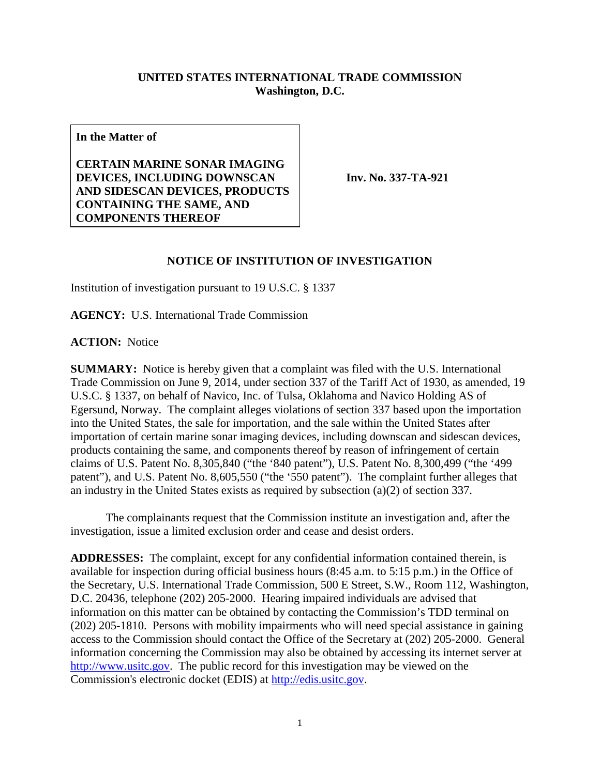## **UNITED STATES INTERNATIONAL TRADE COMMISSION Washington, D.C.**

**In the Matter of**

**CERTAIN MARINE SONAR IMAGING DEVICES, INCLUDING DOWNSCAN AND SIDESCAN DEVICES, PRODUCTS CONTAINING THE SAME, AND COMPONENTS THEREOF**

**Inv. No. 337-TA-921**

## **NOTICE OF INSTITUTION OF INVESTIGATION**

Institution of investigation pursuant to 19 U.S.C. § 1337

**AGENCY:** U.S. International Trade Commission

**ACTION:** Notice

**SUMMARY:** Notice is hereby given that a complaint was filed with the U.S. International Trade Commission on June 9, 2014, under section 337 of the Tariff Act of 1930, as amended, 19 U.S.C. § 1337, on behalf of Navico, Inc. of Tulsa, Oklahoma and Navico Holding AS of Egersund, Norway. The complaint alleges violations of section 337 based upon the importation into the United States, the sale for importation, and the sale within the United States after importation of certain marine sonar imaging devices, including downscan and sidescan devices, products containing the same, and components thereof by reason of infringement of certain claims of U.S. Patent No. 8,305,840 ("the '840 patent"), U.S. Patent No. 8,300,499 ("the '499 patent"), and U.S. Patent No. 8,605,550 ("the '550 patent"). The complaint further alleges that an industry in the United States exists as required by subsection (a)(2) of section 337.

The complainants request that the Commission institute an investigation and, after the investigation, issue a limited exclusion order and cease and desist orders.

**ADDRESSES:** The complaint, except for any confidential information contained therein, is available for inspection during official business hours (8:45 a.m. to 5:15 p.m.) in the Office of the Secretary, U.S. International Trade Commission, 500 E Street, S.W., Room 112, Washington, D.C. 20436, telephone (202) 205-2000. Hearing impaired individuals are advised that information on this matter can be obtained by contacting the Commission's TDD terminal on (202) 205-1810. Persons with mobility impairments who will need special assistance in gaining access to the Commission should contact the Office of the Secretary at (202) 205-2000. General information concerning the Commission may also be obtained by accessing its internet server at [http://www.usitc.gov.](http://www.usitc.gov/) The public record for this investigation may be viewed on the Commission's electronic docket (EDIS) at [http://edis.usitc.gov.](http://edis.usitc.gov/)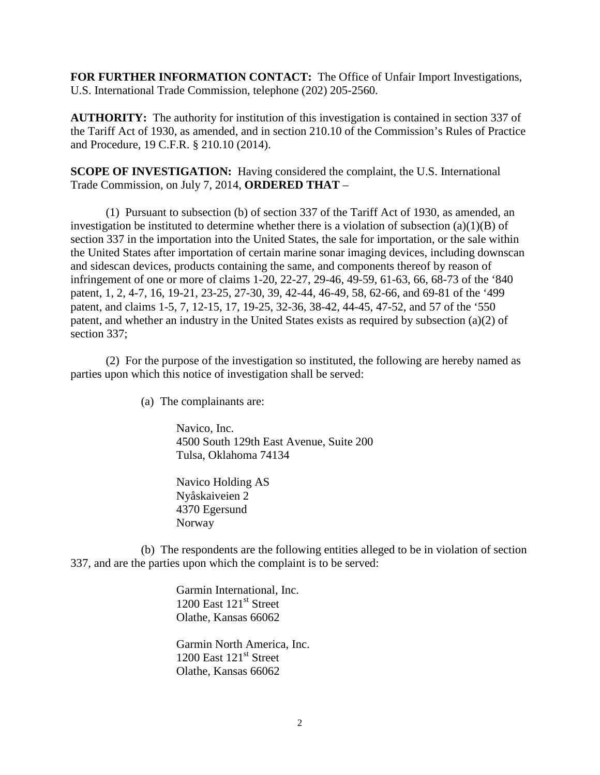**FOR FURTHER INFORMATION CONTACT:** The Office of Unfair Import Investigations, U.S. International Trade Commission, telephone (202) 205-2560.

**AUTHORITY:** The authority for institution of this investigation is contained in section 337 of the Tariff Act of 1930, as amended, and in section 210.10 of the Commission's Rules of Practice and Procedure, 19 C.F.R. § 210.10 (2014).

**SCOPE OF INVESTIGATION:** Having considered the complaint, the U.S. International Trade Commission, on July 7, 2014, **ORDERED THAT** –

(1) Pursuant to subsection (b) of section 337 of the Tariff Act of 1930, as amended, an investigation be instituted to determine whether there is a violation of subsection  $(a)(1)(B)$  of section 337 in the importation into the United States, the sale for importation, or the sale within the United States after importation of certain marine sonar imaging devices, including downscan and sidescan devices, products containing the same, and components thereof by reason of infringement of one or more of claims 1-20, 22-27, 29-46, 49-59, 61-63, 66, 68-73 of the '840 patent, 1, 2, 4-7, 16, 19-21, 23-25, 27-30, 39, 42-44, 46-49, 58, 62-66, and 69-81 of the '499 patent, and claims 1-5, 7, 12-15, 17, 19-25, 32-36, 38-42, 44-45, 47-52, and 57 of the '550 patent, and whether an industry in the United States exists as required by subsection (a)(2) of section 337;

(2) For the purpose of the investigation so instituted, the following are hereby named as parties upon which this notice of investigation shall be served:

(a) The complainants are:

Navico, Inc. 4500 South 129th East Avenue, Suite 200 Tulsa, Oklahoma 74134

Navico Holding AS Nyåskaiveien 2 4370 Egersund Norway

(b) The respondents are the following entities alleged to be in violation of section 337, and are the parties upon which the complaint is to be served:

> Garmin International, Inc. 1200 East  $121<sup>st</sup>$  Street Olathe, Kansas 66062

Garmin North America, Inc. 1200 East 121<sup>st</sup> Street Olathe, Kansas 66062